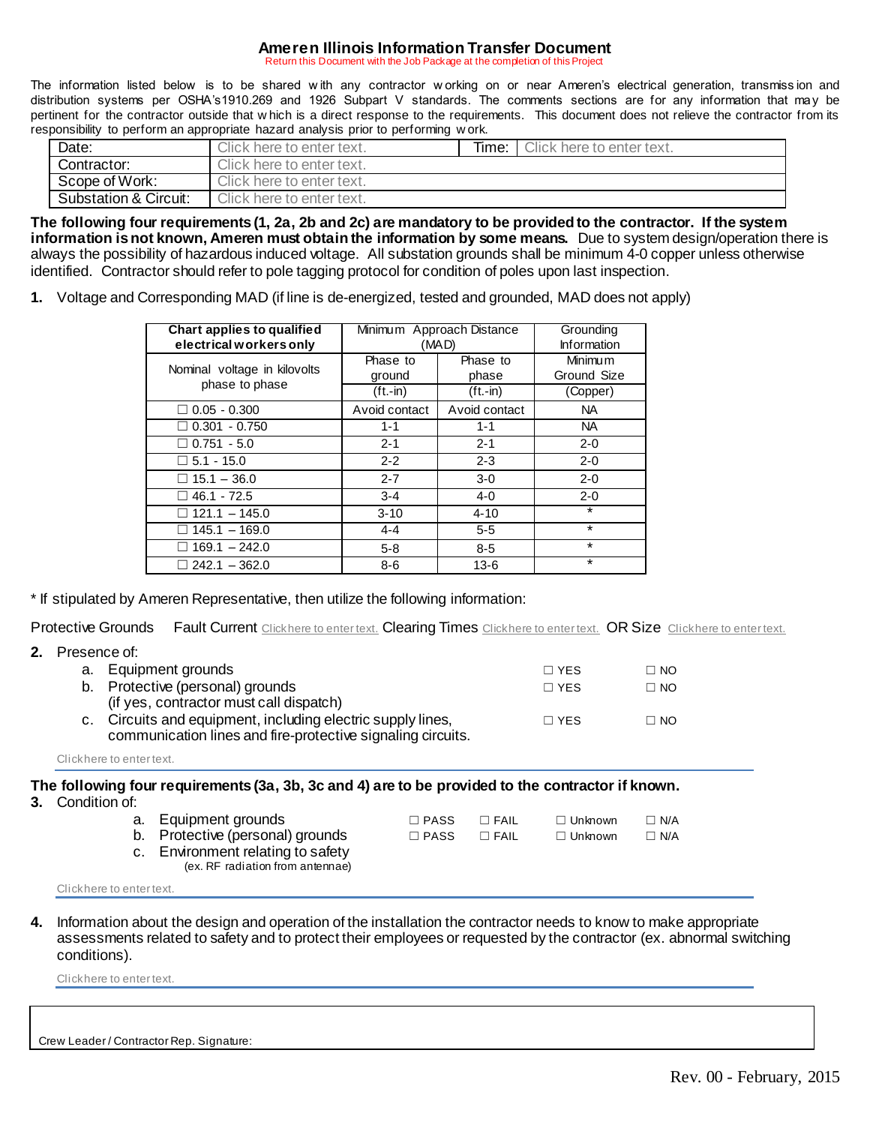## **Ameren Illinois Information Transfer Document**

Return this Document with the Job Package at the completion of this Project

The information listed below is to be shared w ith any contractor w orking on or near Ameren's electrical generation, transmiss ion and distribution systems per OSHA's1910.269 and 1926 Subpart V standards. The comments sections are for any information that may be pertinent for the contractor outside that w hich is a direct response to the requirements. This document does not relieve the contractor from its responsibility to perform an appropriate hazard analysis prior to performing w ork.

| Date:                 | Click here to enter text. | Time: | Click here to enter text. |
|-----------------------|---------------------------|-------|---------------------------|
| Contractor:           | Click here to enter text. |       |                           |
| Scope of Work:        | Click here to enter text. |       |                           |
| Substation & Circuit: | Click here to enter text. |       |                           |

**The following four requirements (1, 2a, 2b and 2c) are mandatory to be provided to the contractor. If the system information is not known, Ameren must obtain the information by some means.** Due to system design/operation there is always the possibility of hazardous induced voltage. All substation grounds shall be minimum 4-0 copper unless otherwise identified. Contractor should refer to pole tagging protocol for condition of poles upon last inspection.

**1.** Voltage and Corresponding MAD (if line is de-energized, tested and grounded, MAD does not apply)

| Chart applies to qualified<br>electrical workers only | Minimum Approach Distance<br>(MAD) | Grounding<br><b>Information</b> |                               |
|-------------------------------------------------------|------------------------------------|---------------------------------|-------------------------------|
| Nominal voltage in kilovolts                          | Phase to<br>ground                 | Phase to<br>phase               | <b>Minimum</b><br>Ground Size |
| phase to phase                                        | $(ft.-in)$                         | $(ft.-in)$                      | (Copper)                      |
| $\Box$ 0.05 - 0.300                                   | Avoid contact                      | Avoid contact                   | NA.                           |
| $\Box$ 0.301 - 0.750                                  | $1 - 1$                            | $1 - 1$                         | NA.                           |
| $\Box$ 0.751 - 5.0                                    | $2 - 1$                            | $2 - 1$                         | $2 - 0$                       |
| $\Box$ 5.1 - 15.0                                     | $2 - 2$                            | $2 - 3$                         | $2 - 0$                       |
| $\Box$ 15.1 - 36.0                                    | $2 - 7$                            | $3-0$                           | $2 - 0$                       |
| $46.1 - 72.5$                                         | $3 - 4$                            | $4 - 0$                         | $2 - 0$                       |
| $121.1 - 145.0$                                       | $3 - 10$                           | $4 - 10$                        | $\ast$                        |
| $145.1 - 169.0$                                       | $4 - 4$                            | $5 - 5$                         | $\star$                       |
| $169.1 - 242.0$                                       | $5 - 8$                            | $8 - 5$                         | $\star$                       |
| $242.1 - 362.0$                                       | $8-6$                              | $13-6$                          | $\star$                       |

\* If stipulated by Ameren Representative, then utilize the following information:

Protective Grounds Fault Current Click here to enter text. Clearing Times Click here to enter text. OR Size Click here to enter text.

| 2. |    | Presence of:                                                                                                               |              |           |  |  |
|----|----|----------------------------------------------------------------------------------------------------------------------------|--------------|-----------|--|--|
|    | а. | Equipment grounds                                                                                                          | $\Box$ YES   | $\Box$ No |  |  |
|    |    | b. Protective (personal) grounds<br>(if yes, contractor must call dispatch)                                                | $\Box$ YES   | $\Box$ NO |  |  |
|    |    | c. Circuits and equipment, including electric supply lines,<br>communication lines and fire-protective signaling circuits. | $\sqcap$ YES | $\Box$ No |  |  |

Click here to enter text.

## **The following four requirements (3a, 3b, 3c and 4) are to be provided to the contractor if known.**

**3.** Condition of:

| a. Equipment grounds                                                  | $\Box$ PASS   | $\Box$ FAIL | □ Unknown | $\Box$ N/A |
|-----------------------------------------------------------------------|---------------|-------------|-----------|------------|
| b. Protective (personal) grounds                                      | $\sqcap$ PASS | $\Box$ FAIL | ∩ Unknown | $\Box$ N/A |
| c. Environment relating to safety<br>(ex. RF radiation from antennae) |               |             |           |            |

Click here to enter text.

**4.** Information about the design and operation of the installation the contractor needs to know to make appropriate assessments related to safety and to protect their employees or requested by the contractor (ex. abnormal switching conditions).

Click here to enter text.